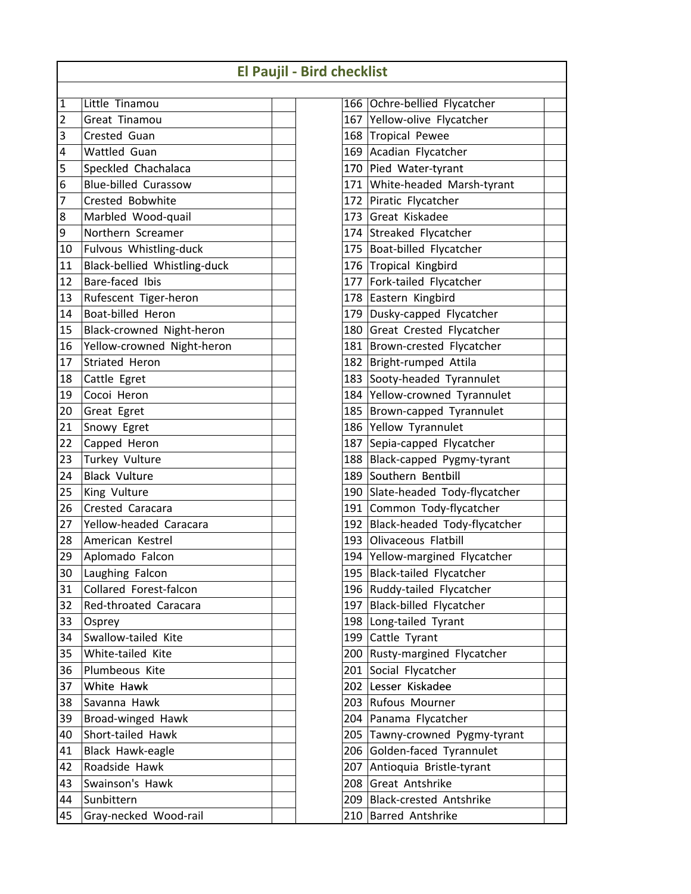|    |                              | <b>El Paujil - Bird checklist</b> |     |                                  |
|----|------------------------------|-----------------------------------|-----|----------------------------------|
| 1  | Little Tinamou               |                                   |     | 166 Ochre-bellied Flycatcher     |
| 2  | Great Tinamou                |                                   |     | 167 Yellow-olive Flycatcher      |
| 3  | Crested Guan                 |                                   |     | 168 Tropical Pewee               |
| 4  | <b>Wattled Guan</b>          |                                   |     | 169 Acadian Flycatcher           |
| 5  | Speckled Chachalaca          |                                   |     | 170 Pied Water-tyrant            |
| 6  | <b>Blue-billed Curassow</b>  |                                   |     | 171 White-headed Marsh-tyrant    |
| 7  | Crested Bobwhite             |                                   |     | 172 Piratic Flycatcher           |
| 8  | Marbled Wood-quail           |                                   |     | 173 Great Kiskadee               |
| 9  | Northern Screamer            |                                   |     | 174 Streaked Flycatcher          |
| 10 | Fulvous Whistling-duck       |                                   |     | 175 Boat-billed Flycatcher       |
| 11 | Black-bellied Whistling-duck |                                   |     | 176 Tropical Kingbird            |
| 12 | Bare-faced Ibis              | 177                               |     | Fork-tailed Flycatcher           |
| 13 | Rufescent Tiger-heron        |                                   |     | 178 Eastern Kingbird             |
| 14 | Boat-billed Heron            |                                   |     | 179 Dusky-capped Flycatcher      |
| 15 | Black-crowned Night-heron    |                                   |     | 180 Great Crested Flycatcher     |
| 16 | Yellow-crowned Night-heron   |                                   |     | 181 Brown-crested Flycatcher     |
| 17 | Striated Heron               | 182                               |     | <b>Bright-rumped Attila</b>      |
| 18 | Cattle Egret                 | 183                               |     | Sooty-headed Tyrannulet          |
| 19 | Cocoi Heron                  |                                   |     | 184 Yellow-crowned Tyrannulet    |
| 20 | Great Egret                  |                                   |     | 185 Brown-capped Tyrannulet      |
| 21 | Snowy Egret                  |                                   |     | 186 Yellow Tyrannulet            |
| 22 | Capped Heron                 | 187                               |     | Sepia-capped Flycatcher          |
| 23 | Turkey Vulture               |                                   |     | 188 Black-capped Pygmy-tyrant    |
| 24 | <b>Black Vulture</b>         | 189                               |     | Southern Bentbill                |
| 25 | King Vulture                 | 190                               |     | Slate-headed Tody-flycatcher     |
| 26 | Crested Caracara             |                                   |     | 191 Common Tody-flycatcher       |
| 27 | Yellow-headed Caracara       |                                   |     | 192 Black-headed Tody-flycatcher |
| 28 | American Kestrel             |                                   |     | 193 Olivaceous Flatbill          |
| 29 | Aplomado Falcon              |                                   |     | 194 Yellow-margined Flycatcher   |
| 30 | Laughing Falcon              |                                   |     | 195 Black-tailed Flycatcher      |
| 31 | Collared Forest-falcon       |                                   |     | 196 Ruddy-tailed Flycatcher      |
| 32 | Red-throated Caracara        | 197                               |     | Black-billed Flycatcher          |
| 33 | Osprey                       |                                   |     | 198 Long-tailed Tyrant           |
| 34 | Swallow-tailed Kite          |                                   |     | 199 Cattle Tyrant                |
| 35 | White-tailed Kite            | 200                               |     | Rusty-margined Flycatcher        |
| 36 | Plumbeous Kite               | 201                               |     | Social Flycatcher                |
| 37 | White Hawk                   |                                   |     | 202 Lesser Kiskadee              |
| 38 | Savanna Hawk                 |                                   |     | 203 Rufous Mourner               |
| 39 | Broad-winged Hawk            |                                   |     | 204 Panama Flycatcher            |
| 40 | Short-tailed Hawk            | 205                               |     | Tawny-crowned Pygmy-tyrant       |
| 41 | Black Hawk-eagle             | 206                               |     | Golden-faced Tyrannulet          |
| 42 | Roadside Hawk                | 207                               |     | Antioquia Bristle-tyrant         |
| 43 | Swainson's Hawk              |                                   | 208 | Great Antshrike                  |
| 44 | Sunbittern                   | 209                               |     | <b>Black-crested Antshrike</b>   |
| 45 | Gray-necked Wood-rail        | 210                               |     | Barred Antshrike                 |

| ıecklist |                                |  |
|----------|--------------------------------|--|
|          |                                |  |
| 166      | Ochre-bellied Flycatcher       |  |
| 167      | Yellow-olive Flycatcher        |  |
| 168      | <b>Tropical Pewee</b>          |  |
| 169      | Acadian Flycatcher             |  |
| 170      | Pied Water-tyrant              |  |
| 171      | White-headed Marsh-tyrant      |  |
| 172      | Piratic Flycatcher             |  |
| 173      | Great Kiskadee                 |  |
| 174      | Streaked Flycatcher            |  |
|          | 175 Boat-billed Flycatcher     |  |
| 176      | Tropical Kingbird              |  |
| 177      | Fork-tailed Flycatcher         |  |
| 178      | Eastern Kingbird               |  |
| 179      | Dusky-capped Flycatcher        |  |
| 180      | Great Crested Flycatcher       |  |
| 181      | Brown-crested Flycatcher       |  |
| 182      | Bright-rumped Attila           |  |
| 183      | Sooty-headed Tyrannulet        |  |
| 184      | Yellow-crowned Tyrannulet      |  |
| 185      | Brown-capped Tyrannulet        |  |
| 186      | Yellow Tyrannulet              |  |
| 187      | Sepia-capped Flycatcher        |  |
| 188      | Black-capped Pygmy-tyrant      |  |
| 189      | Southern Bentbill              |  |
| 190      | Slate-headed Tody-flycatcher   |  |
| 191      | Common Tody-flycatcher         |  |
| 192      | Black-headed Tody-flycatcher   |  |
| 193      | Olivaceous Flatbill            |  |
| 194      | Yellow-margined Flycatcher     |  |
| 195      | <b>Black-tailed Flycatcher</b> |  |
| 196      | Ruddy-tailed Flycatcher        |  |
| 197      | Black-billed Flycatcher        |  |
| 198      | Long-tailed Tyrant             |  |
| 199      | Cattle Tyrant                  |  |
| 200      | Rusty-margined Flycatcher      |  |
| 201      | Social Flycatcher              |  |
| 202      | Lesser Kiskadee                |  |
| 203      | Rufous Mourner                 |  |
| 204      | Panama Flycatcher              |  |
| 205      | Tawny-crowned Pygmy-tyrant     |  |
| 206      | Golden-faced Tyrannulet        |  |
| 207      | Antioquia Bristle-tyrant       |  |
| 208      | Great Antshrike                |  |
| 209      | Black-crested Antshrike        |  |
| 210      | Barred Antshrike               |  |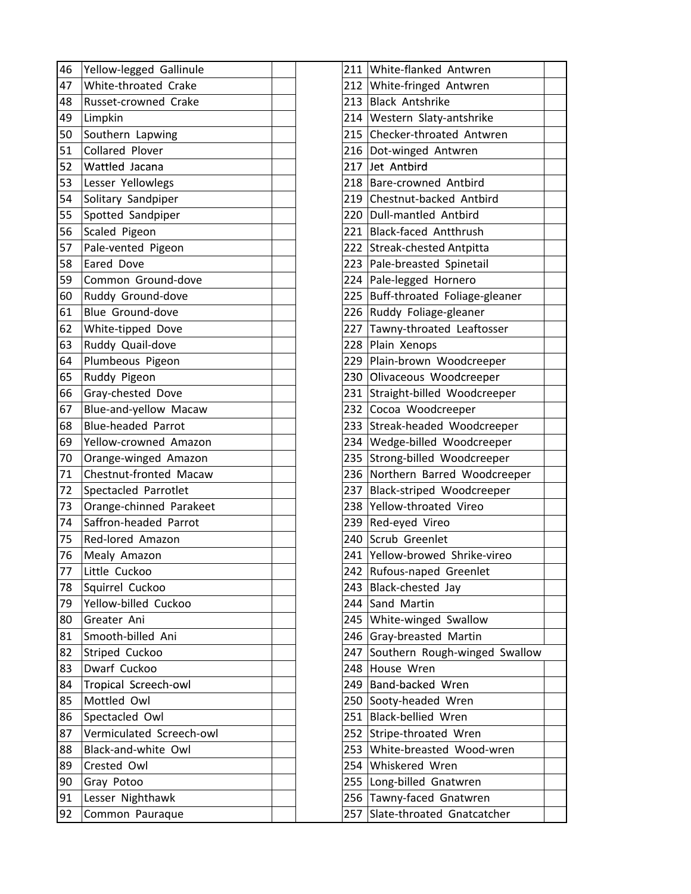| 46 | Yellow-legged Gallinule   | 211 White-flanked Antwren         |
|----|---------------------------|-----------------------------------|
| 47 | White-throated Crake      | 212 White-fringed Antwren         |
| 48 | Russet-crowned Crake      | 213 Black Antshrike               |
| 49 | Limpkin                   | 214 Western Slaty-antshrike       |
| 50 | Southern Lapwing          | 215 Checker-throated Antwren      |
| 51 | Collared Plover           | 216   Dot-winged Antwren          |
| 52 | Wattled Jacana            | 217 Jet Antbird                   |
| 53 | Lesser Yellowlegs         | 218 Bare-crowned Antbird          |
| 54 | Solitary Sandpiper        | 219 Chestnut-backed Antbird       |
| 55 | Spotted Sandpiper         | 220 Dull-mantled Antbird          |
| 56 | Scaled Pigeon             | 221 Black-faced Antthrush         |
| 57 | Pale-vented Pigeon        | 222 Streak-chested Antpitta       |
| 58 | Eared Dove                | 223 Pale-breasted Spinetail       |
| 59 | Common Ground-dove        | 224 Pale-legged Hornero           |
| 60 | Ruddy Ground-dove         | 225 Buff-throated Foliage-gleaner |
| 61 | Blue Ground-dove          | 226 Ruddy Foliage-gleaner         |
| 62 | White-tipped Dove         | 227 Tawny-throated Leaftosser     |
| 63 | Ruddy Quail-dove          | 228 Plain Xenops                  |
| 64 | Plumbeous Pigeon          | 229 Plain-brown Woodcreeper       |
| 65 | Ruddy Pigeon              | 230 Olivaceous Woodcreeper        |
| 66 | Gray-chested Dove         | 231 Straight-billed Woodcreeper   |
| 67 | Blue-and-yellow Macaw     | 232 Cocoa Woodcreeper             |
| 68 | <b>Blue-headed Parrot</b> | 233 Streak-headed Woodcreeper     |
| 69 | Yellow-crowned Amazon     | 234 Wedge-billed Woodcreeper      |
| 70 | Orange-winged Amazon      | 235 Strong-billed Woodcreeper     |
| 71 | Chestnut-fronted Macaw    | 236 Northern Barred Woodcreeper   |
| 72 | Spectacled Parrotlet      | 237 Black-striped Woodcreeper     |
| 73 | Orange-chinned Parakeet   | 238 Yellow-throated Vireo         |
| 74 | Saffron-headed Parrot     | 239 Red-eyed Vireo                |
| 75 | Red-lored Amazon          | 240 Scrub Greenlet                |
| 76 | Mealy Amazon              | 241 Yellow-browed Shrike-vireo    |
| 77 | Little Cuckoo             | 242 Rufous-naped Greenlet         |
| 78 | Squirrel Cuckoo           | 243 Black-chested Jay             |
| 79 | Yellow-billed Cuckoo      | 244 Sand Martin                   |
| 80 | Greater Ani               | 245 White-winged Swallow          |
| 81 | Smooth-billed Ani         | 246 Gray-breasted Martin          |
| 82 | Striped Cuckoo            | 247 Southern Rough-winged Swallow |
| 83 | Dwarf Cuckoo              | 248 House Wren                    |
| 84 | Tropical Screech-owl      | 249 Band-backed Wren              |
| 85 | Mottled Owl               | 250 Sooty-headed Wren             |
| 86 | Spectacled Owl            | 251 Black-bellied Wren            |
| 87 | Vermiculated Screech-owl  | 252 Stripe-throated Wren          |
| 88 | Black-and-white Owl       | 253 White-breasted Wood-wren      |
| 89 | Crested Owl               | 254 Whiskered Wren                |
| 90 | Gray Potoo                | 255   Long-billed Gnatwren        |
| 91 | Lesser Nighthawk          | 256 Tawny-faced Gnatwren          |
| 92 | Common Pauraque           | 257 Slate-throated Gnatcatcher    |

| 212<br>White-fringed Antwren<br>213<br><b>Black Antshrike</b><br>Western Slaty-antshrike<br>214<br>Checker-throated Antwren<br>215<br>216<br>Dot-winged Antwren<br>217<br>Jet Antbird<br>218<br>Bare-crowned Antbird<br>Chestnut-backed Antbird<br>219<br>220<br>Dull-mantled Antbird<br><b>Black-faced Antthrush</b><br>221<br><b>Streak-chested Antpitta</b><br>222<br>223<br>Pale-breasted Spinetail<br>Pale-legged Hornero<br>224<br>Buff-throated Foliage-gleaner<br>225<br>226<br>Ruddy Foliage-gleaner<br>Tawny-throated Leaftosser<br>227<br>Plain Xenops<br>228<br>Plain-brown Woodcreeper<br>229<br>230<br>Olivaceous Woodcreeper<br>Straight-billed Woodcreeper<br>231<br>Cocoa Woodcreeper<br>232<br>Streak-headed Woodcreeper<br>233<br>234<br>Wedge-billed Woodcreeper<br>Strong-billed Woodcreeper<br>235<br>Northern Barred Woodcreeper<br>236<br>Black-striped Woodcreeper<br>237<br>238<br>Yellow-throated Vireo<br>Red-eyed Vireo<br>239<br>240<br>Scrub Greenlet<br>241<br>Yellow-browed Shrike-vireo<br>242<br>Rufous-naped Greenlet<br>243<br>Black-chested Jay<br>244<br>Sand Martin<br>White-winged Swallow<br>245<br>Gray-breasted Martin<br>246<br>Southern Rough-winged Swallow<br>247<br>House Wren<br>248<br>Band-backed Wren<br>249<br>Sooty-headed Wren<br>250<br>Black-bellied Wren<br>251<br>Stripe-throated Wren<br>252<br>White-breasted Wood-wren<br>253<br>254<br>Whiskered Wren<br>Long-billed Gnatwren<br>255<br>Tawny-faced Gnatwren<br>256<br>Slate-throated Gnatcatcher<br>257 | 211 | White-flanked Antwren |  |
|--------------------------------------------------------------------------------------------------------------------------------------------------------------------------------------------------------------------------------------------------------------------------------------------------------------------------------------------------------------------------------------------------------------------------------------------------------------------------------------------------------------------------------------------------------------------------------------------------------------------------------------------------------------------------------------------------------------------------------------------------------------------------------------------------------------------------------------------------------------------------------------------------------------------------------------------------------------------------------------------------------------------------------------------------------------------------------------------------------------------------------------------------------------------------------------------------------------------------------------------------------------------------------------------------------------------------------------------------------------------------------------------------------------------------------------------------------------------------------------------------------------------------|-----|-----------------------|--|
|                                                                                                                                                                                                                                                                                                                                                                                                                                                                                                                                                                                                                                                                                                                                                                                                                                                                                                                                                                                                                                                                                                                                                                                                                                                                                                                                                                                                                                                                                                                          |     |                       |  |
|                                                                                                                                                                                                                                                                                                                                                                                                                                                                                                                                                                                                                                                                                                                                                                                                                                                                                                                                                                                                                                                                                                                                                                                                                                                                                                                                                                                                                                                                                                                          |     |                       |  |
|                                                                                                                                                                                                                                                                                                                                                                                                                                                                                                                                                                                                                                                                                                                                                                                                                                                                                                                                                                                                                                                                                                                                                                                                                                                                                                                                                                                                                                                                                                                          |     |                       |  |
|                                                                                                                                                                                                                                                                                                                                                                                                                                                                                                                                                                                                                                                                                                                                                                                                                                                                                                                                                                                                                                                                                                                                                                                                                                                                                                                                                                                                                                                                                                                          |     |                       |  |
|                                                                                                                                                                                                                                                                                                                                                                                                                                                                                                                                                                                                                                                                                                                                                                                                                                                                                                                                                                                                                                                                                                                                                                                                                                                                                                                                                                                                                                                                                                                          |     |                       |  |
|                                                                                                                                                                                                                                                                                                                                                                                                                                                                                                                                                                                                                                                                                                                                                                                                                                                                                                                                                                                                                                                                                                                                                                                                                                                                                                                                                                                                                                                                                                                          |     |                       |  |
|                                                                                                                                                                                                                                                                                                                                                                                                                                                                                                                                                                                                                                                                                                                                                                                                                                                                                                                                                                                                                                                                                                                                                                                                                                                                                                                                                                                                                                                                                                                          |     |                       |  |
|                                                                                                                                                                                                                                                                                                                                                                                                                                                                                                                                                                                                                                                                                                                                                                                                                                                                                                                                                                                                                                                                                                                                                                                                                                                                                                                                                                                                                                                                                                                          |     |                       |  |
|                                                                                                                                                                                                                                                                                                                                                                                                                                                                                                                                                                                                                                                                                                                                                                                                                                                                                                                                                                                                                                                                                                                                                                                                                                                                                                                                                                                                                                                                                                                          |     |                       |  |
|                                                                                                                                                                                                                                                                                                                                                                                                                                                                                                                                                                                                                                                                                                                                                                                                                                                                                                                                                                                                                                                                                                                                                                                                                                                                                                                                                                                                                                                                                                                          |     |                       |  |
|                                                                                                                                                                                                                                                                                                                                                                                                                                                                                                                                                                                                                                                                                                                                                                                                                                                                                                                                                                                                                                                                                                                                                                                                                                                                                                                                                                                                                                                                                                                          |     |                       |  |
|                                                                                                                                                                                                                                                                                                                                                                                                                                                                                                                                                                                                                                                                                                                                                                                                                                                                                                                                                                                                                                                                                                                                                                                                                                                                                                                                                                                                                                                                                                                          |     |                       |  |
|                                                                                                                                                                                                                                                                                                                                                                                                                                                                                                                                                                                                                                                                                                                                                                                                                                                                                                                                                                                                                                                                                                                                                                                                                                                                                                                                                                                                                                                                                                                          |     |                       |  |
|                                                                                                                                                                                                                                                                                                                                                                                                                                                                                                                                                                                                                                                                                                                                                                                                                                                                                                                                                                                                                                                                                                                                                                                                                                                                                                                                                                                                                                                                                                                          |     |                       |  |
|                                                                                                                                                                                                                                                                                                                                                                                                                                                                                                                                                                                                                                                                                                                                                                                                                                                                                                                                                                                                                                                                                                                                                                                                                                                                                                                                                                                                                                                                                                                          |     |                       |  |
|                                                                                                                                                                                                                                                                                                                                                                                                                                                                                                                                                                                                                                                                                                                                                                                                                                                                                                                                                                                                                                                                                                                                                                                                                                                                                                                                                                                                                                                                                                                          |     |                       |  |
|                                                                                                                                                                                                                                                                                                                                                                                                                                                                                                                                                                                                                                                                                                                                                                                                                                                                                                                                                                                                                                                                                                                                                                                                                                                                                                                                                                                                                                                                                                                          |     |                       |  |
|                                                                                                                                                                                                                                                                                                                                                                                                                                                                                                                                                                                                                                                                                                                                                                                                                                                                                                                                                                                                                                                                                                                                                                                                                                                                                                                                                                                                                                                                                                                          |     |                       |  |
|                                                                                                                                                                                                                                                                                                                                                                                                                                                                                                                                                                                                                                                                                                                                                                                                                                                                                                                                                                                                                                                                                                                                                                                                                                                                                                                                                                                                                                                                                                                          |     |                       |  |
|                                                                                                                                                                                                                                                                                                                                                                                                                                                                                                                                                                                                                                                                                                                                                                                                                                                                                                                                                                                                                                                                                                                                                                                                                                                                                                                                                                                                                                                                                                                          |     |                       |  |
|                                                                                                                                                                                                                                                                                                                                                                                                                                                                                                                                                                                                                                                                                                                                                                                                                                                                                                                                                                                                                                                                                                                                                                                                                                                                                                                                                                                                                                                                                                                          |     |                       |  |
|                                                                                                                                                                                                                                                                                                                                                                                                                                                                                                                                                                                                                                                                                                                                                                                                                                                                                                                                                                                                                                                                                                                                                                                                                                                                                                                                                                                                                                                                                                                          |     |                       |  |
|                                                                                                                                                                                                                                                                                                                                                                                                                                                                                                                                                                                                                                                                                                                                                                                                                                                                                                                                                                                                                                                                                                                                                                                                                                                                                                                                                                                                                                                                                                                          |     |                       |  |
|                                                                                                                                                                                                                                                                                                                                                                                                                                                                                                                                                                                                                                                                                                                                                                                                                                                                                                                                                                                                                                                                                                                                                                                                                                                                                                                                                                                                                                                                                                                          |     |                       |  |
|                                                                                                                                                                                                                                                                                                                                                                                                                                                                                                                                                                                                                                                                                                                                                                                                                                                                                                                                                                                                                                                                                                                                                                                                                                                                                                                                                                                                                                                                                                                          |     |                       |  |
|                                                                                                                                                                                                                                                                                                                                                                                                                                                                                                                                                                                                                                                                                                                                                                                                                                                                                                                                                                                                                                                                                                                                                                                                                                                                                                                                                                                                                                                                                                                          |     |                       |  |
|                                                                                                                                                                                                                                                                                                                                                                                                                                                                                                                                                                                                                                                                                                                                                                                                                                                                                                                                                                                                                                                                                                                                                                                                                                                                                                                                                                                                                                                                                                                          |     |                       |  |
|                                                                                                                                                                                                                                                                                                                                                                                                                                                                                                                                                                                                                                                                                                                                                                                                                                                                                                                                                                                                                                                                                                                                                                                                                                                                                                                                                                                                                                                                                                                          |     |                       |  |
|                                                                                                                                                                                                                                                                                                                                                                                                                                                                                                                                                                                                                                                                                                                                                                                                                                                                                                                                                                                                                                                                                                                                                                                                                                                                                                                                                                                                                                                                                                                          |     |                       |  |
|                                                                                                                                                                                                                                                                                                                                                                                                                                                                                                                                                                                                                                                                                                                                                                                                                                                                                                                                                                                                                                                                                                                                                                                                                                                                                                                                                                                                                                                                                                                          |     |                       |  |
|                                                                                                                                                                                                                                                                                                                                                                                                                                                                                                                                                                                                                                                                                                                                                                                                                                                                                                                                                                                                                                                                                                                                                                                                                                                                                                                                                                                                                                                                                                                          |     |                       |  |
|                                                                                                                                                                                                                                                                                                                                                                                                                                                                                                                                                                                                                                                                                                                                                                                                                                                                                                                                                                                                                                                                                                                                                                                                                                                                                                                                                                                                                                                                                                                          |     |                       |  |
|                                                                                                                                                                                                                                                                                                                                                                                                                                                                                                                                                                                                                                                                                                                                                                                                                                                                                                                                                                                                                                                                                                                                                                                                                                                                                                                                                                                                                                                                                                                          |     |                       |  |
|                                                                                                                                                                                                                                                                                                                                                                                                                                                                                                                                                                                                                                                                                                                                                                                                                                                                                                                                                                                                                                                                                                                                                                                                                                                                                                                                                                                                                                                                                                                          |     |                       |  |
|                                                                                                                                                                                                                                                                                                                                                                                                                                                                                                                                                                                                                                                                                                                                                                                                                                                                                                                                                                                                                                                                                                                                                                                                                                                                                                                                                                                                                                                                                                                          |     |                       |  |
|                                                                                                                                                                                                                                                                                                                                                                                                                                                                                                                                                                                                                                                                                                                                                                                                                                                                                                                                                                                                                                                                                                                                                                                                                                                                                                                                                                                                                                                                                                                          |     |                       |  |
|                                                                                                                                                                                                                                                                                                                                                                                                                                                                                                                                                                                                                                                                                                                                                                                                                                                                                                                                                                                                                                                                                                                                                                                                                                                                                                                                                                                                                                                                                                                          |     |                       |  |
|                                                                                                                                                                                                                                                                                                                                                                                                                                                                                                                                                                                                                                                                                                                                                                                                                                                                                                                                                                                                                                                                                                                                                                                                                                                                                                                                                                                                                                                                                                                          |     |                       |  |
|                                                                                                                                                                                                                                                                                                                                                                                                                                                                                                                                                                                                                                                                                                                                                                                                                                                                                                                                                                                                                                                                                                                                                                                                                                                                                                                                                                                                                                                                                                                          |     |                       |  |
|                                                                                                                                                                                                                                                                                                                                                                                                                                                                                                                                                                                                                                                                                                                                                                                                                                                                                                                                                                                                                                                                                                                                                                                                                                                                                                                                                                                                                                                                                                                          |     |                       |  |
|                                                                                                                                                                                                                                                                                                                                                                                                                                                                                                                                                                                                                                                                                                                                                                                                                                                                                                                                                                                                                                                                                                                                                                                                                                                                                                                                                                                                                                                                                                                          |     |                       |  |
|                                                                                                                                                                                                                                                                                                                                                                                                                                                                                                                                                                                                                                                                                                                                                                                                                                                                                                                                                                                                                                                                                                                                                                                                                                                                                                                                                                                                                                                                                                                          |     |                       |  |
|                                                                                                                                                                                                                                                                                                                                                                                                                                                                                                                                                                                                                                                                                                                                                                                                                                                                                                                                                                                                                                                                                                                                                                                                                                                                                                                                                                                                                                                                                                                          |     |                       |  |
|                                                                                                                                                                                                                                                                                                                                                                                                                                                                                                                                                                                                                                                                                                                                                                                                                                                                                                                                                                                                                                                                                                                                                                                                                                                                                                                                                                                                                                                                                                                          |     |                       |  |
|                                                                                                                                                                                                                                                                                                                                                                                                                                                                                                                                                                                                                                                                                                                                                                                                                                                                                                                                                                                                                                                                                                                                                                                                                                                                                                                                                                                                                                                                                                                          |     |                       |  |
|                                                                                                                                                                                                                                                                                                                                                                                                                                                                                                                                                                                                                                                                                                                                                                                                                                                                                                                                                                                                                                                                                                                                                                                                                                                                                                                                                                                                                                                                                                                          |     |                       |  |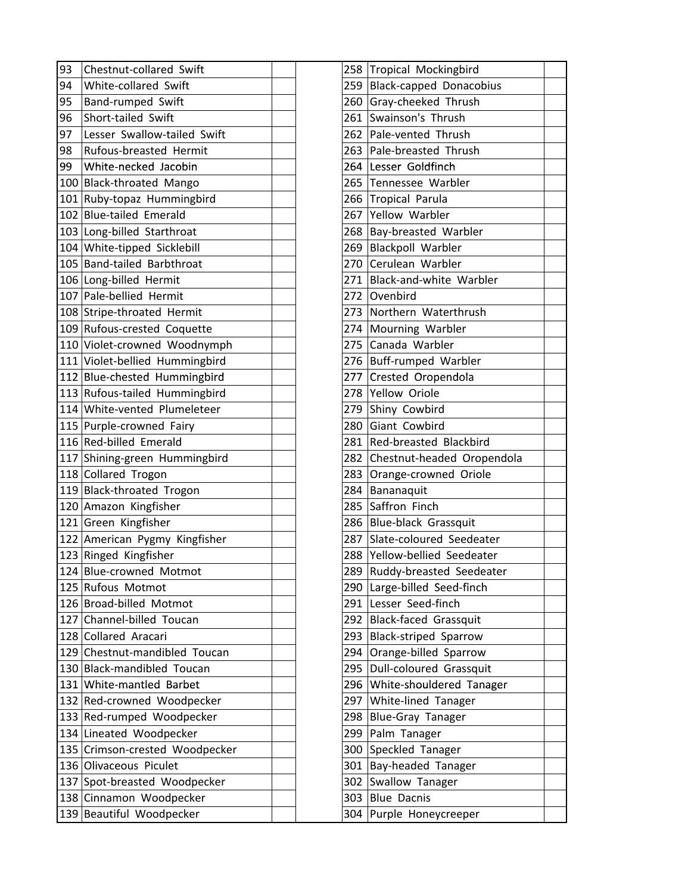| 93 | Chestnut-collared Swift        |  | 258 Tropical Mockingbird       |
|----|--------------------------------|--|--------------------------------|
| 94 | White-collared Swift           |  | 259 Black-capped Donacobius    |
| 95 | Band-rumped Swift              |  | 260 Gray-cheeked Thrush        |
| 96 | Short-tailed Swift             |  | 261 Swainson's Thrush          |
| 97 | Lesser Swallow-tailed Swift    |  | 262 Pale-vented Thrush         |
| 98 | Rufous-breasted Hermit         |  | 263 Pale-breasted Thrush       |
| 99 | White-necked Jacobin           |  | 264 Lesser Goldfinch           |
|    | 100 Black-throated Mango       |  | 265 Tennessee Warbler          |
|    | 101 Ruby-topaz Hummingbird     |  | 266 Tropical Parula            |
|    | 102 Blue-tailed Emerald        |  | 267 Yellow Warbler             |
|    | 103 Long-billed Starthroat     |  | 268 Bay-breasted Warbler       |
|    | 104 White-tipped Sicklebill    |  | 269 Blackpoll Warbler          |
|    | 105 Band-tailed Barbthroat     |  | 270 Cerulean Warbler           |
|    | 106 Long-billed Hermit         |  | 271 Black-and-white Warbler    |
|    | 107 Pale-bellied Hermit        |  | 272 Ovenbird                   |
|    | 108 Stripe-throated Hermit     |  | 273 Northern Waterthrush       |
|    | 109 Rufous-crested Coquette    |  | 274 Mourning Warbler           |
|    | 110 Violet-crowned Woodnymph   |  | 275 Canada Warbler             |
|    | 111 Violet-bellied Hummingbird |  | 276 Buff-rumped Warbler        |
|    | 112 Blue-chested Hummingbird   |  | 277 Crested Oropendola         |
|    | 113 Rufous-tailed Hummingbird  |  | 278 Yellow Oriole              |
|    | 114 White-vented Plumeleteer   |  | 279 Shiny Cowbird              |
|    | 115 Purple-crowned Fairy       |  | 280 Giant Cowbird              |
|    | 116 Red-billed Emerald         |  | 281 Red-breasted Blackbird     |
|    | 117 Shining-green Hummingbird  |  | 282 Chestnut-headed Oropendola |
|    | 118 Collared Trogon            |  | 283 Orange-crowned Oriole      |
|    | 119 Black-throated Trogon      |  | 284 Bananaquit                 |
|    | 120 Amazon Kingfisher          |  | 285 Saffron Finch              |
|    | 121 Green Kingfisher           |  | 286 Blue-black Grassquit       |
|    | 122 American Pygmy Kingfisher  |  | 287 Slate-coloured Seedeater   |
|    | 123 Ringed Kingfisher          |  | 288 Yellow-bellied Seedeater   |
|    | 124 Blue-crowned Motmot        |  | 289 Ruddy-breasted Seedeater   |
|    | 125 Rufous Motmot              |  | 290 Large-billed Seed-finch    |
|    | 126 Broad-billed Motmot        |  | 291 Lesser Seed-finch          |
|    | 127 Channel-billed Toucan      |  | 292 Black-faced Grassquit      |
|    | 128 Collared Aracari           |  | 293 Black-striped Sparrow      |
|    | 129 Chestnut-mandibled Toucan  |  | 294 Orange-billed Sparrow      |
|    | 130 Black-mandibled Toucan     |  | 295 Dull-coloured Grassquit    |
|    | 131 White-mantled Barbet       |  | 296 White-shouldered Tanager   |
|    | 132 Red-crowned Woodpecker     |  | 297 White-lined Tanager        |
|    | 133 Red-rumped Woodpecker      |  | 298 Blue-Gray Tanager          |
|    | 134 Lineated Woodpecker        |  | 299 Palm Tanager               |
|    | 135 Crimson-crested Woodpecker |  | 300 Speckled Tanager           |
|    | 136 Olivaceous Piculet         |  | 301 Bay-headed Tanager         |
|    | 137 Spot-breasted Woodpecker   |  | 302 Swallow Tanager            |
|    | 138 Cinnamon Woodpecker        |  | 303 Blue Dacnis                |
|    | 139 Beautiful Woodpecker       |  | 304 Purple Honeycreeper        |

| 258 | <b>Tropical Mockingbird</b>    |  |
|-----|--------------------------------|--|
| 259 | <b>Black-capped Donacobius</b> |  |
| 260 | Gray-cheeked Thrush            |  |
| 261 | Swainson's Thrush              |  |
| 262 | Pale-vented Thrush             |  |
| 263 | Pale-breasted Thrush           |  |
| 264 | Lesser Goldfinch               |  |
| 265 | Tennessee Warbler              |  |
| 266 | <b>Tropical Parula</b>         |  |
| 267 | Yellow Warbler                 |  |
| 268 | Bay-breasted Warbler           |  |
| 269 | Blackpoll Warbler              |  |
| 270 | Cerulean Warbler               |  |
| 271 | Black-and-white Warbler        |  |
| 272 | Ovenbird                       |  |
| 273 | Northern Waterthrush           |  |
| 274 | Mourning Warbler               |  |
| 275 | Canada Warbler                 |  |
| 276 | <b>Buff-rumped Warbler</b>     |  |
| 277 | Crested Oropendola             |  |
| 278 | Yellow Oriole                  |  |
| 279 | Shiny Cowbird                  |  |
| 280 | Giant Cowbird                  |  |
| 281 | Red-breasted Blackbird         |  |
| 282 | Chestnut-headed Oropendola     |  |
| 283 | Orange-crowned Oriole          |  |
| 284 | Bananaquit                     |  |
| 285 | Saffron Finch                  |  |
| 286 | Blue-black Grassquit           |  |
| 287 | Slate-coloured Seedeater       |  |
| 288 | Yellow-bellied Seedeater       |  |
| 289 | Ruddy-breasted Seedeater       |  |
| 290 | Large-billed Seed-finch        |  |
| 291 | Lesser Seed-finch              |  |
| 292 | <b>Black-faced Grassquit</b>   |  |
| 293 | <b>Black-striped Sparrow</b>   |  |
| 294 | Orange-billed Sparrow          |  |
| 295 | <b>Dull-coloured Grassquit</b> |  |
| 296 | White-shouldered Tanager       |  |
| 297 | White-lined Tanager            |  |
| 298 | <b>Blue-Gray Tanager</b>       |  |
| 299 | Palm Tanager                   |  |
| 300 | Speckled Tanager               |  |
| 301 | Bay-headed Tanager             |  |
| 302 | Swallow Tanager                |  |
| 303 | <b>Blue Dacnis</b>             |  |
| 304 | Purple Honeycreeper            |  |